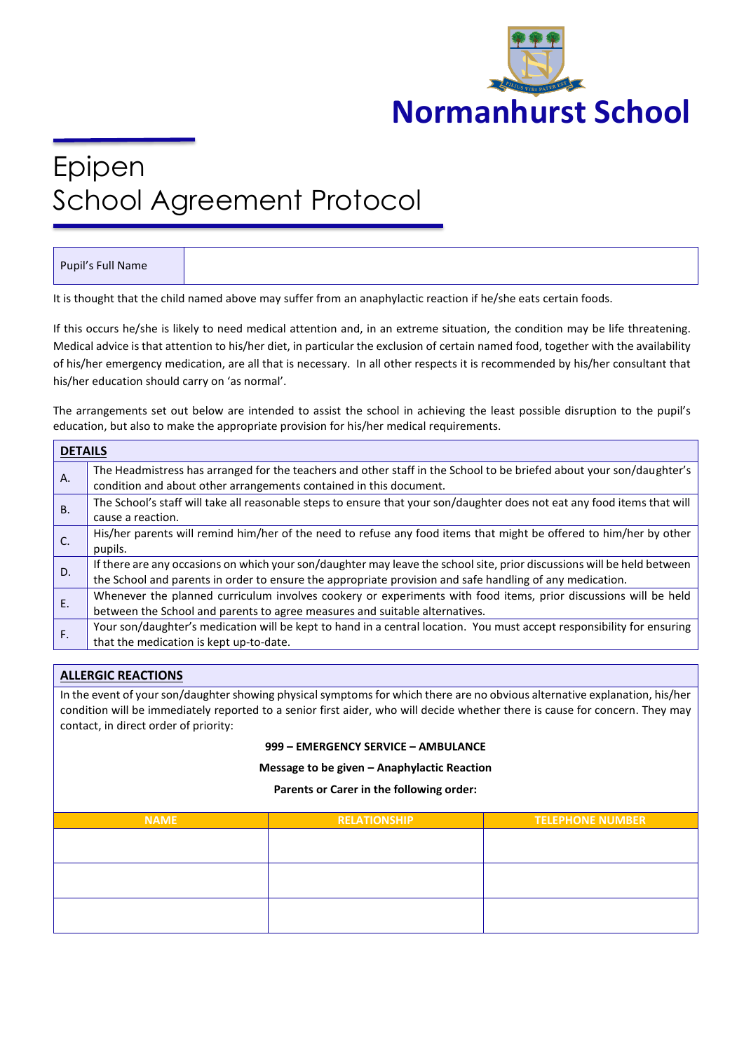

# Epipen School Agreement Protocol

It is thought that the child named above may suffer from an anaphylactic reaction if he/she eats certain foods.

If this occurs he/she is likely to need medical attention and, in an extreme situation, the condition may be life threatening. Medical advice is that attention to his/her diet, in particular the exclusion of certain named food, together with the availability of his/her emergency medication, are all that is necessary. In all other respects it is recommended by his/her consultant that his/her education should carry on 'as normal'.

The arrangements set out below are intended to assist the school in achieving the least possible disruption to the pupil's education, but also to make the appropriate provision for his/her medical requirements.

| <b>DETAILS</b> |                                                                                                                                                                                            |  |  |  |
|----------------|--------------------------------------------------------------------------------------------------------------------------------------------------------------------------------------------|--|--|--|
| A.             | The Headmistress has arranged for the teachers and other staff in the School to be briefed about your son/daughter's<br>condition and about other arrangements contained in this document. |  |  |  |
| <b>B.</b>      | The School's staff will take all reasonable steps to ensure that your son/daughter does not eat any food items that will                                                                   |  |  |  |
| C.             | cause a reaction.<br>His/her parents will remind him/her of the need to refuse any food items that might be offered to him/her by other                                                    |  |  |  |
|                | pupils.                                                                                                                                                                                    |  |  |  |
| D.             | If there are any occasions on which your son/daughter may leave the school site, prior discussions will be held between                                                                    |  |  |  |
|                | the School and parents in order to ensure the appropriate provision and safe handling of any medication.                                                                                   |  |  |  |
| E.             | Whenever the planned curriculum involves cookery or experiments with food items, prior discussions will be held                                                                            |  |  |  |
|                | between the School and parents to agree measures and suitable alternatives.                                                                                                                |  |  |  |
| ∖F.∖           | Your son/daughter's medication will be kept to hand in a central location. You must accept responsibility for ensuring                                                                     |  |  |  |
|                | that the medication is kept up-to-date.                                                                                                                                                    |  |  |  |

### **ALLERGIC REACTIONS**

In the event of your son/daughter showing physical symptoms for which there are no obvious alternative explanation, his/her condition will be immediately reported to a senior first aider, who will decide whether there is cause for concern. They may contact, in direct order of priority:

#### **999 – EMERGENCY SERVICE – AMBULANCE**

#### **Message to be given – Anaphylactic Reaction**

**Parents or Carer in the following order:**

| <b>NAME</b> | <b>RELATIONSHIP</b> | TELEPHONE NUMBER |
|-------------|---------------------|------------------|
|             |                     |                  |
|             |                     |                  |
|             |                     |                  |
|             |                     |                  |
|             |                     |                  |
|             |                     |                  |